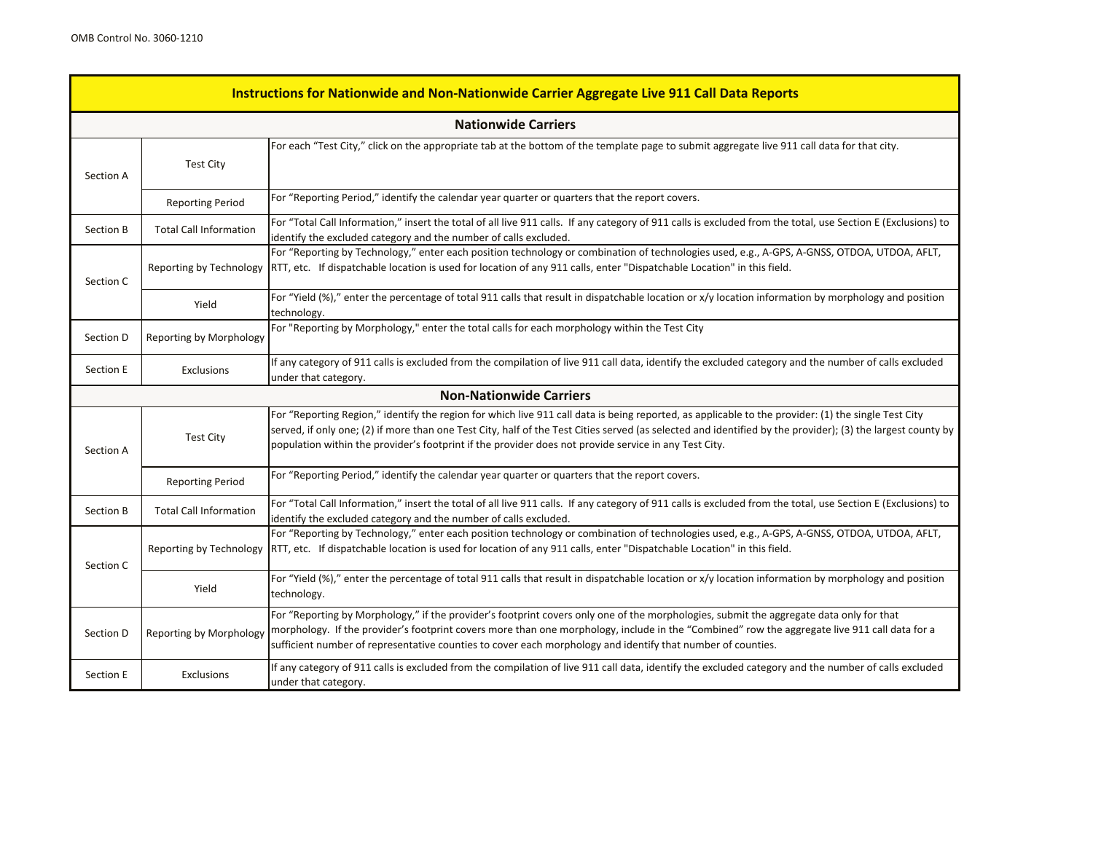| Instructions for Nationwide and Non-Nationwide Carrier Aggregate Live 911 Call Data Reports |                                                                                                                                                                                            |                                                                                                                                                                                                                                                                                                                                                                                                         |  |  |  |
|---------------------------------------------------------------------------------------------|--------------------------------------------------------------------------------------------------------------------------------------------------------------------------------------------|---------------------------------------------------------------------------------------------------------------------------------------------------------------------------------------------------------------------------------------------------------------------------------------------------------------------------------------------------------------------------------------------------------|--|--|--|
|                                                                                             | <b>Nationwide Carriers</b>                                                                                                                                                                 |                                                                                                                                                                                                                                                                                                                                                                                                         |  |  |  |
| Section A                                                                                   | <b>Test City</b>                                                                                                                                                                           | For each "Test City," click on the appropriate tab at the bottom of the template page to submit aggregate live 911 call data for that city.                                                                                                                                                                                                                                                             |  |  |  |
|                                                                                             | <b>Reporting Period</b>                                                                                                                                                                    | For "Reporting Period," identify the calendar year quarter or quarters that the report covers.                                                                                                                                                                                                                                                                                                          |  |  |  |
| Section B                                                                                   | <b>Total Call Information</b>                                                                                                                                                              | For "Total Call Information," insert the total of all live 911 calls. If any category of 911 calls is excluded from the total, use Section E (Exclusions) to<br>identify the excluded category and the number of calls excluded.                                                                                                                                                                        |  |  |  |
| Section C                                                                                   | Reporting by Technology                                                                                                                                                                    | For "Reporting by Technology," enter each position technology or combination of technologies used, e.g., A-GPS, A-GNSS, OTDOA, UTDOA, AFLT,<br>RTT, etc. If dispatchable location is used for location of any 911 calls, enter "Dispatchable Location" in this field.                                                                                                                                   |  |  |  |
|                                                                                             | Yield                                                                                                                                                                                      | For "Yield (%)," enter the percentage of total 911 calls that result in dispatchable location or x/y location information by morphology and position<br>technology.                                                                                                                                                                                                                                     |  |  |  |
| Section D                                                                                   | Reporting by Morphology                                                                                                                                                                    | For "Reporting by Morphology," enter the total calls for each morphology within the Test City                                                                                                                                                                                                                                                                                                           |  |  |  |
| Section E                                                                                   | If any category of 911 calls is excluded from the compilation of live 911 call data, identify the excluded category and the number of calls excluded<br>Exclusions<br>under that category. |                                                                                                                                                                                                                                                                                                                                                                                                         |  |  |  |
|                                                                                             |                                                                                                                                                                                            | <b>Non-Nationwide Carriers</b>                                                                                                                                                                                                                                                                                                                                                                          |  |  |  |
| Section A                                                                                   |                                                                                                                                                                                            | For "Reporting Region," identify the region for which live 911 call data is being reported, as applicable to the provider: (1) the single Test City<br>served, if only one; (2) if more than one Test City, half of the Test Cities served (as selected and identified by the provider); (3) the largest county by                                                                                      |  |  |  |
|                                                                                             | <b>Test City</b>                                                                                                                                                                           | population within the provider's footprint if the provider does not provide service in any Test City.                                                                                                                                                                                                                                                                                                   |  |  |  |
|                                                                                             | <b>Reporting Period</b>                                                                                                                                                                    | For "Reporting Period," identify the calendar year quarter or quarters that the report covers.                                                                                                                                                                                                                                                                                                          |  |  |  |
| Section B                                                                                   | <b>Total Call Information</b>                                                                                                                                                              | For "Total Call Information," insert the total of all live 911 calls. If any category of 911 calls is excluded from the total, use Section E (Exclusions) to<br>identify the excluded category and the number of calls excluded.                                                                                                                                                                        |  |  |  |
| Section C                                                                                   | Reporting by Technology                                                                                                                                                                    | For "Reporting by Technology," enter each position technology or combination of technologies used, e.g., A-GPS, A-GNSS, OTDOA, UTDOA, AFLT,<br>RTT, etc. If dispatchable location is used for location of any 911 calls, enter "Dispatchable Location" in this field.                                                                                                                                   |  |  |  |
|                                                                                             | Yield                                                                                                                                                                                      | For "Yield (%)," enter the percentage of total 911 calls that result in dispatchable location or x/y location information by morphology and position<br>technology.                                                                                                                                                                                                                                     |  |  |  |
| Section D                                                                                   | Reporting by Morphology                                                                                                                                                                    | For "Reporting by Morphology," if the provider's footprint covers only one of the morphologies, submit the aggregate data only for that<br>morphology. If the provider's footprint covers more than one morphology, include in the "Combined" row the aggregate live 911 call data for a<br>sufficient number of representative counties to cover each morphology and identify that number of counties. |  |  |  |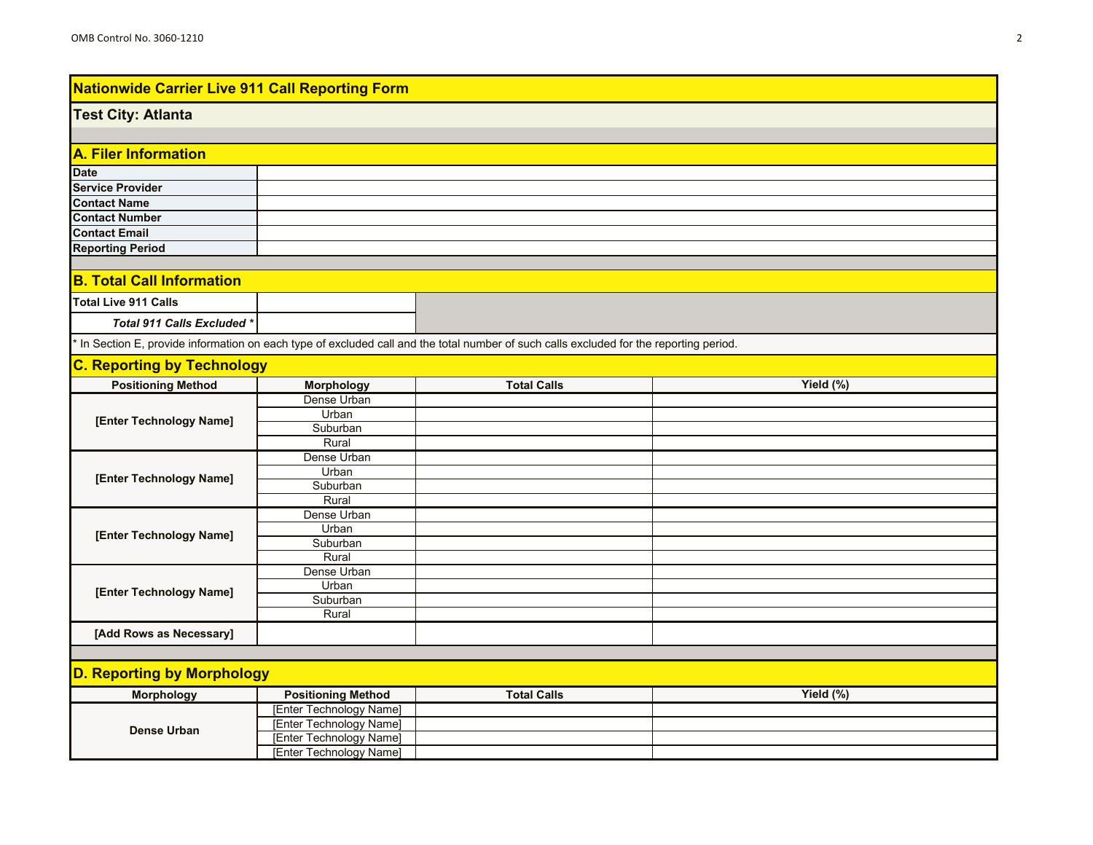#### **Test City: Atlanta**

| A. Filer Information    |  |  |
|-------------------------|--|--|
| <b>Date</b>             |  |  |
| <b>Service Provider</b> |  |  |
| <b>Contact Name</b>     |  |  |
| <b>Contact Number</b>   |  |  |
| <b>Contact Email</b>    |  |  |
| <b>Reporting Period</b> |  |  |

### **B. Total Call Information**

| Total Live 911 Calls        |  |
|-----------------------------|--|
| Total 911 Calls Excluded *\ |  |

\* In Section E, provide information on each type of excluded call and the total number of such calls excluded for the reporting period.

## **C. Reporting by Technology**

| .<br><b>Positioning Method</b> | <b>Morphology</b> | <b>Total Calls</b> | Yield (%) |
|--------------------------------|-------------------|--------------------|-----------|
|                                | Dense Urban       |                    |           |
|                                | Urban             |                    |           |
| [Enter Technology Name]        | Suburban          |                    |           |
|                                | Rural             |                    |           |
|                                | Dense Urban       |                    |           |
| [Enter Technology Name]        | Urban             |                    |           |
|                                | Suburban          |                    |           |
|                                | Rural             |                    |           |
|                                | Dense Urban       |                    |           |
| [Enter Technology Name]        | Urban             |                    |           |
|                                | Suburban          |                    |           |
|                                | Rural             |                    |           |
|                                | Dense Urban       |                    |           |
| [Enter Technology Name]        | Urban             |                    |           |
|                                | Suburban          |                    |           |
|                                | Rural             |                    |           |
| [Add Rows as Necessary]        |                   |                    |           |

| <b>Morphology</b> | <b>Positioning Method</b> | <b>Total Calls</b> | Yield $(\%)$ |
|-------------------|---------------------------|--------------------|--------------|
|                   | [Enter Technology Name]   |                    |              |
| Dense Urban       | [Enter Technology Name]   |                    |              |
|                   | [Enter Technology Name]   |                    |              |
|                   | [Enter Technology Name]   |                    |              |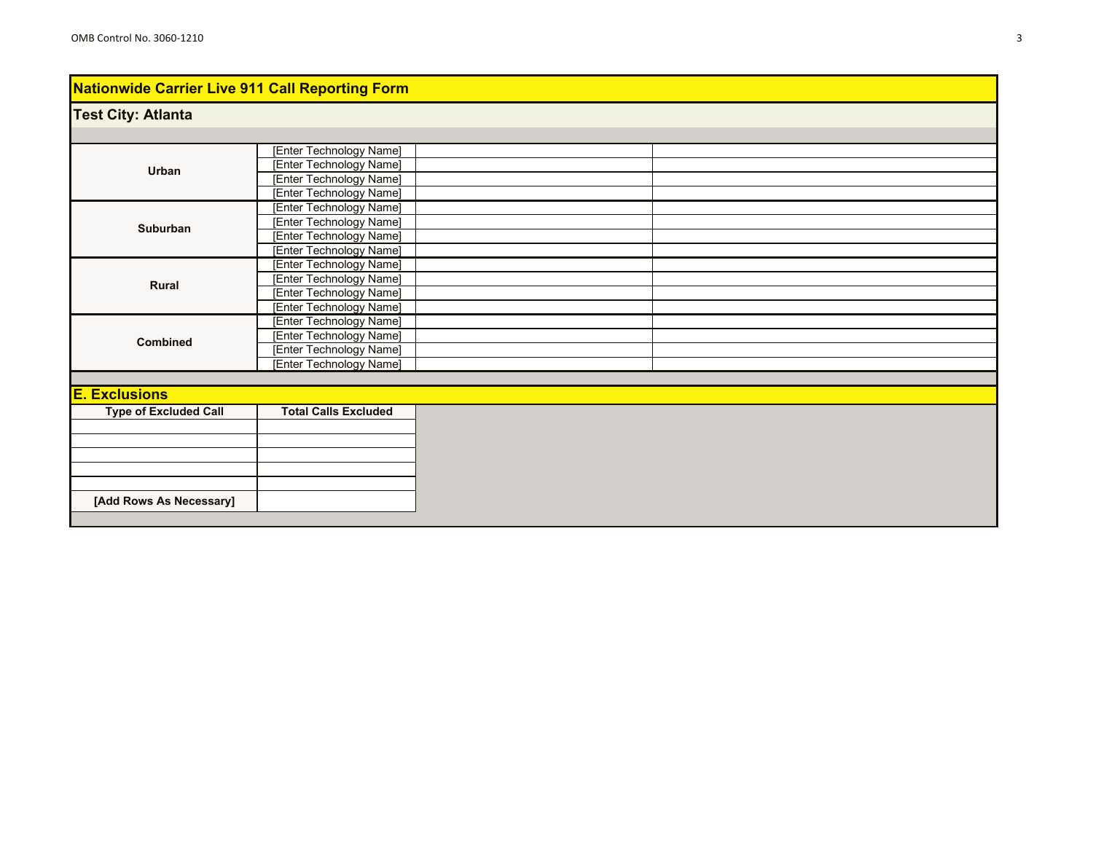# **Test City: Atlanta**

|                              | [Enter Technology Name]        |  |  |
|------------------------------|--------------------------------|--|--|
| Urban                        | [Enter Technology Name]        |  |  |
|                              | [Enter Technology Name]        |  |  |
|                              | [Enter Technology Name]        |  |  |
|                              | [Enter Technology Name]        |  |  |
| Suburban                     | [Enter Technology Name]        |  |  |
|                              | <b>[Enter Technology Name]</b> |  |  |
|                              | [Enter Technology Name]        |  |  |
|                              | [Enter Technology Name]        |  |  |
| Rural                        | [Enter Technology Name]        |  |  |
|                              | [Enter Technology Name]        |  |  |
|                              | [Enter Technology Name]        |  |  |
|                              | [Enter Technology Name]        |  |  |
| <b>Combined</b>              | [Enter Technology Name]        |  |  |
|                              | [Enter Technology Name]        |  |  |
|                              | [Enter Technology Name]        |  |  |
|                              |                                |  |  |
| <b>E. Exclusions</b>         |                                |  |  |
| <b>Type of Excluded Call</b> | <b>Total Calls Excluded</b>    |  |  |
|                              |                                |  |  |
|                              |                                |  |  |
|                              |                                |  |  |
|                              |                                |  |  |
|                              |                                |  |  |
| [Add Rows As Necessary]      |                                |  |  |
|                              |                                |  |  |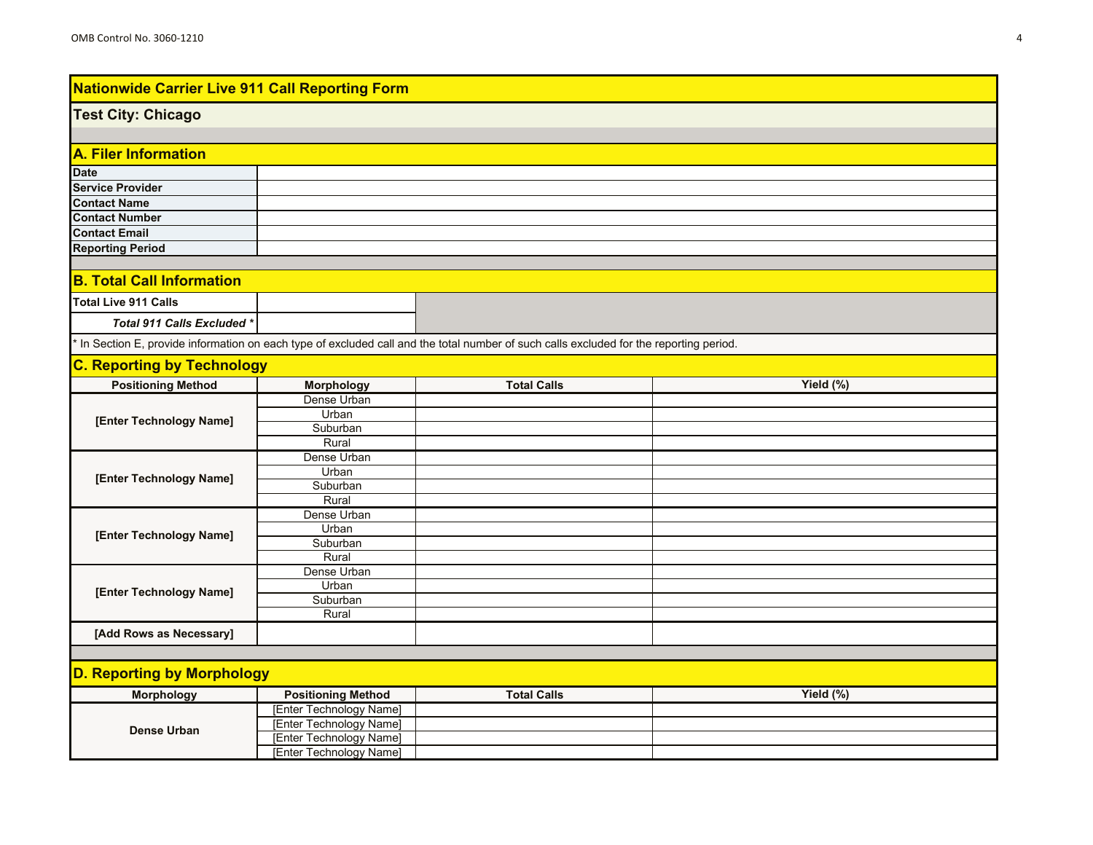### **Test City: Chicago**

| A. Filer Information    |  |  |  |  |
|-------------------------|--|--|--|--|
| <b>Date</b>             |  |  |  |  |
| <b>Service Provider</b> |  |  |  |  |
| <b>Contact Name</b>     |  |  |  |  |
| <b>Contact Number</b>   |  |  |  |  |
| <b>Contact Email</b>    |  |  |  |  |
| <b>Reporting Period</b> |  |  |  |  |

### **B. Total Call Information**

| Total Live 911 Calls        |  |
|-----------------------------|--|
| Total 911 Calls Excluded *\ |  |

\* In Section E, provide information on each type of excluded call and the total number of such calls excluded for the reporting period.

## **C. Reporting by Technology**

| <b>Positioning Method</b> | <b>Morphology</b> | <b>Total Calls</b> | Yield (%) |
|---------------------------|-------------------|--------------------|-----------|
|                           | Dense Urban       |                    |           |
| [Enter Technology Name]   | Urban             |                    |           |
|                           | Suburban          |                    |           |
|                           | Rural             |                    |           |
|                           | Dense Urban       |                    |           |
| [Enter Technology Name]   | Urban             |                    |           |
|                           | Suburban          |                    |           |
|                           | Rural             |                    |           |
|                           | Dense Urban       |                    |           |
| [Enter Technology Name]   | Urban             |                    |           |
|                           | Suburban          |                    |           |
|                           | Rural             |                    |           |
|                           | Dense Urban       |                    |           |
| [Enter Technology Name]   | Urban             |                    |           |
|                           | Suburban          |                    |           |
|                           | Rural             |                    |           |
| [Add Rows as Necessary]   |                   |                    |           |

| <b>Morphology</b> | <b>Positioning Method</b> | <b>Total Calls</b> | Yield $(\%)$ |
|-------------------|---------------------------|--------------------|--------------|
|                   | [Enter Technology Name]   |                    |              |
| Dense Urban       | [Enter Technology Name]   |                    |              |
|                   | [Enter Technology Name]   |                    |              |
|                   | [Enter Technology Name]   |                    |              |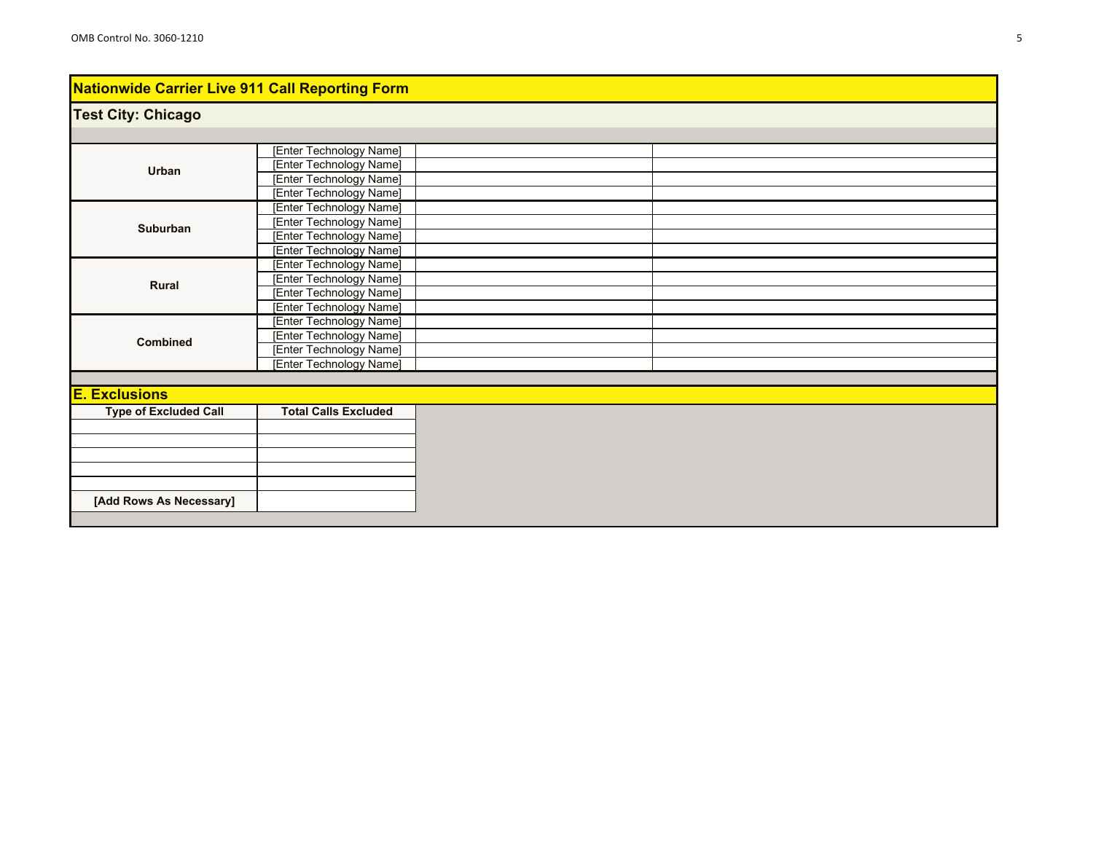# **Test City: Chicago**

|                              | [Enter Technology Name]        |  |
|------------------------------|--------------------------------|--|
| Urban                        | [Enter Technology Name]        |  |
|                              | [Enter Technology Name]        |  |
|                              | [Enter Technology Name]        |  |
|                              | <b>[Enter Technology Name]</b> |  |
| <b>Suburban</b>              | [Enter Technology Name]        |  |
|                              | <b>[Enter Technology Name]</b> |  |
|                              | [Enter Technology Name]        |  |
|                              | <b>[Enter Technology Name]</b> |  |
| Rural                        | [Enter Technology Name]        |  |
|                              | [Enter Technology Name]        |  |
|                              | [Enter Technology Name]        |  |
|                              | [Enter Technology Name]        |  |
| Combined                     | [Enter Technology Name]        |  |
|                              | [Enter Technology Name]        |  |
|                              | [Enter Technology Name]        |  |
|                              |                                |  |
| <b>E. Exclusions</b>         |                                |  |
| <b>Type of Excluded Call</b> | <b>Total Calls Excluded</b>    |  |
|                              |                                |  |
|                              |                                |  |
|                              |                                |  |
|                              |                                |  |
|                              |                                |  |
| [Add Rows As Necessary]      |                                |  |
|                              |                                |  |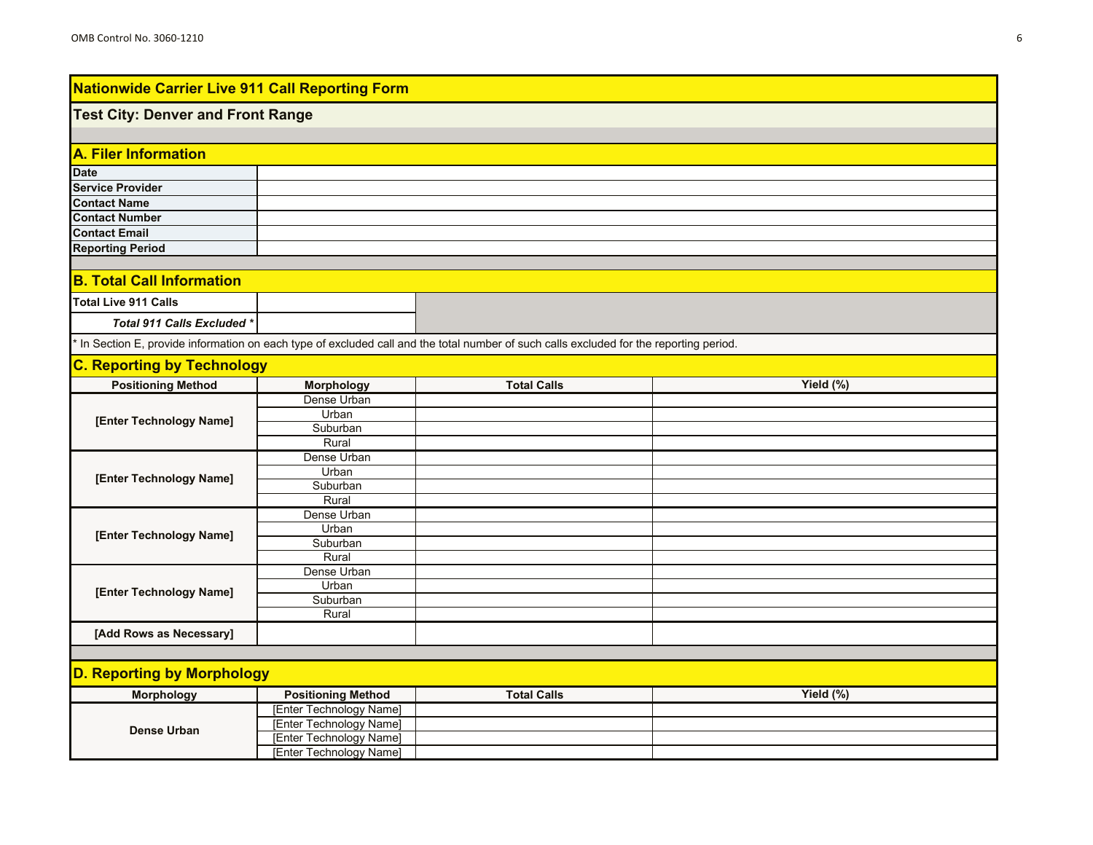### **Test City: Denver and Front Range**

| A. Filer Information |  |  |
|----------------------|--|--|
|                      |  |  |
|                      |  |  |
|                      |  |  |
|                      |  |  |
|                      |  |  |
|                      |  |  |
|                      |  |  |

### **B. Total Call Information**

| Total Live 911 Calls       |  |
|----------------------------|--|
| Total 911 Calls Excluded * |  |

\* In Section E, provide information on each type of excluded call and the total number of such calls excluded for the reporting period.

## **C. Reporting by Technology**

| .<br><b>Positioning Method</b> | <b>Morphology</b> | <b>Total Calls</b> | Yield (%) |
|--------------------------------|-------------------|--------------------|-----------|
|                                | Dense Urban       |                    |           |
|                                | Urban             |                    |           |
| [Enter Technology Name]        | Suburban          |                    |           |
|                                | Rural             |                    |           |
|                                | Dense Urban       |                    |           |
| [Enter Technology Name]        | Urban             |                    |           |
|                                | Suburban          |                    |           |
|                                | Rural             |                    |           |
|                                | Dense Urban       |                    |           |
| [Enter Technology Name]        | Urban             |                    |           |
|                                | Suburban          |                    |           |
|                                | Rural             |                    |           |
|                                | Dense Urban       |                    |           |
| [Enter Technology Name]        | Urban             |                    |           |
|                                | Suburban          |                    |           |
|                                | Rural             |                    |           |
| [Add Rows as Necessary]        |                   |                    |           |

| <b>Morphology</b> | <b>Positioning Method</b> | <b>Total Calls</b> | Yield (%) |
|-------------------|---------------------------|--------------------|-----------|
| Dense Urban       | [Enter Technology Name]   |                    |           |
|                   | [Enter Technology Name]   |                    |           |
|                   | [Enter Technology Name]   |                    |           |
|                   | [Enter Technology Name]   |                    |           |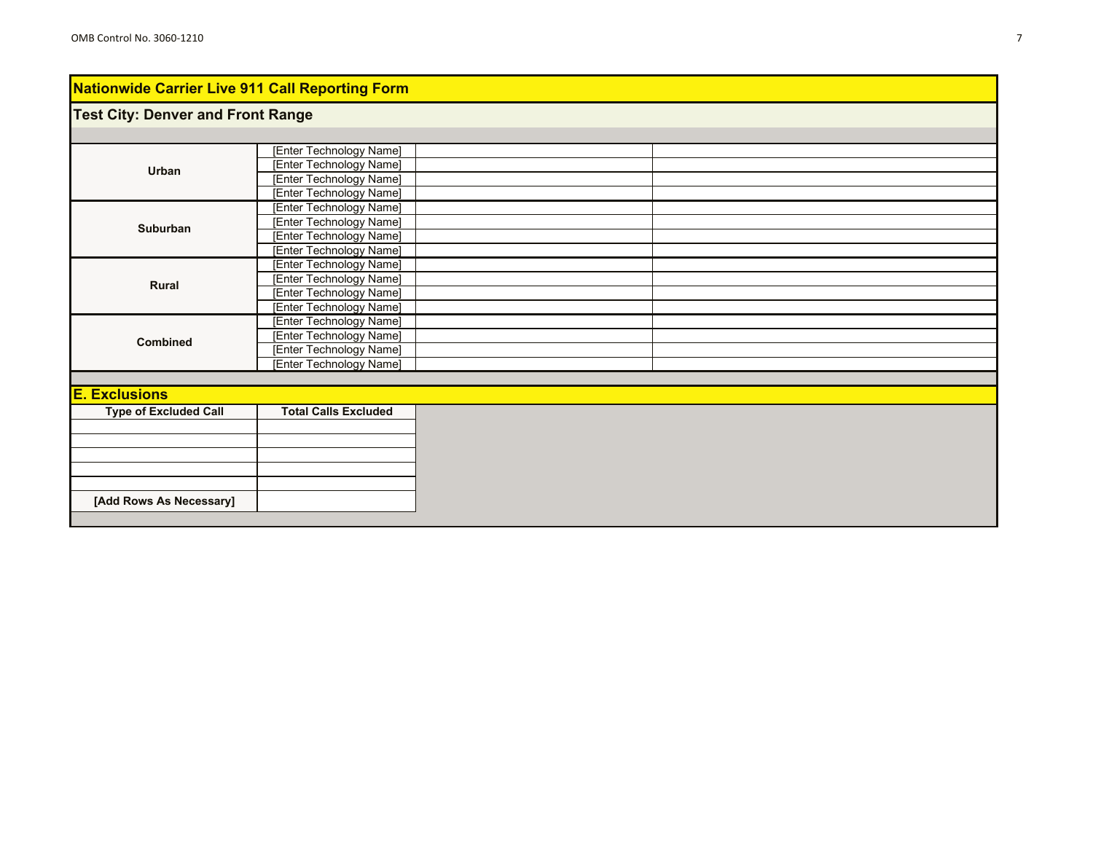# **Test City: Denver and Front Range**

|                              | [Enter Technology Name]     |  |  |
|------------------------------|-----------------------------|--|--|
| Urban                        | [Enter Technology Name]     |  |  |
|                              | [Enter Technology Name]     |  |  |
|                              | [Enter Technology Name]     |  |  |
|                              | [Enter Technology Name]     |  |  |
| Suburban                     | [Enter Technology Name]     |  |  |
|                              | [Enter Technology Name]     |  |  |
|                              | [Enter Technology Name]     |  |  |
|                              | [Enter Technology Name]     |  |  |
| Rural                        | [Enter Technology Name]     |  |  |
|                              | [Enter Technology Name]     |  |  |
|                              | [Enter Technology Name]     |  |  |
|                              | [Enter Technology Name]     |  |  |
| <b>Combined</b>              | [Enter Technology Name]     |  |  |
|                              | [Enter Technology Name]     |  |  |
|                              | [Enter Technology Name]     |  |  |
|                              |                             |  |  |
| <b>E. Exclusions</b>         |                             |  |  |
| <b>Type of Excluded Call</b> | <b>Total Calls Excluded</b> |  |  |
|                              |                             |  |  |
|                              |                             |  |  |
|                              |                             |  |  |
|                              |                             |  |  |
|                              |                             |  |  |
| [Add Rows As Necessary]      |                             |  |  |
|                              |                             |  |  |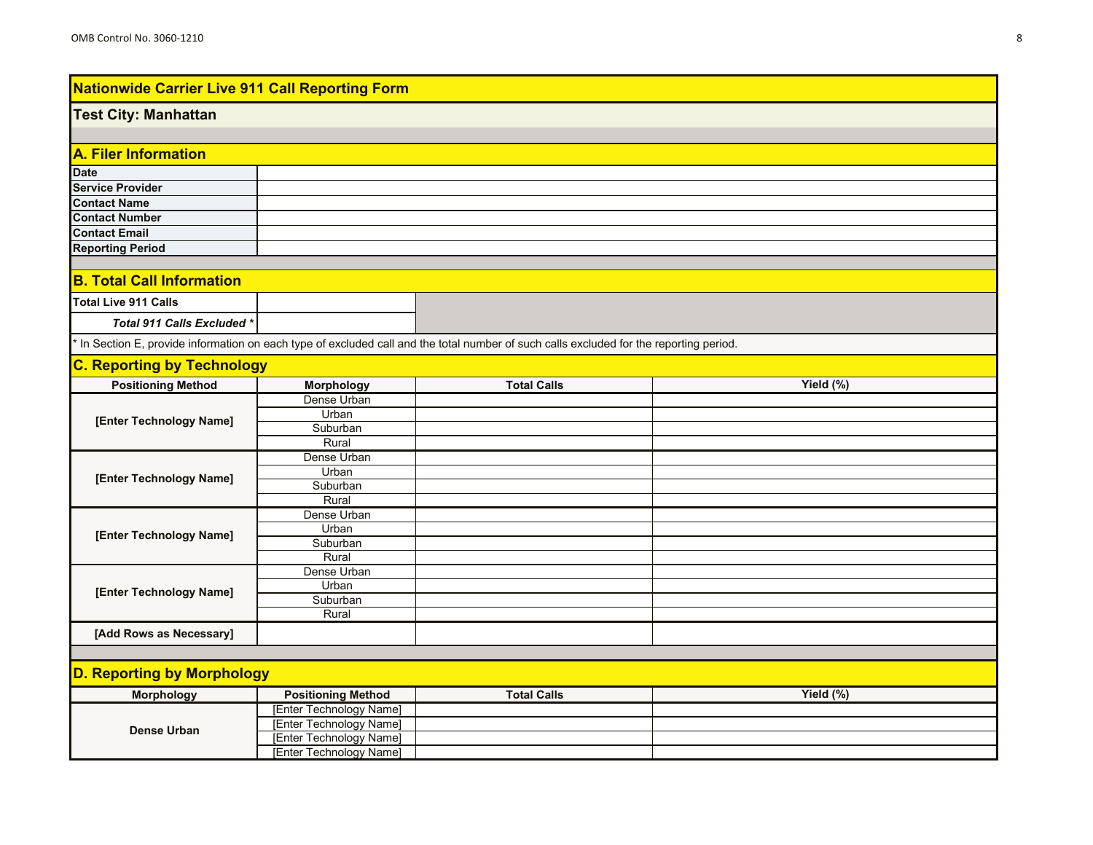#### **Test City: Manhattan**

| A. Filer Information    |  |  |
|-------------------------|--|--|
| <b>Date</b>             |  |  |
| <b>Service Provider</b> |  |  |
| <b>Contact Name</b>     |  |  |
| <b>Contact Number</b>   |  |  |
| <b>Contact Email</b>    |  |  |
| <b>Reporting Period</b> |  |  |

### **B. Total Call Information**

| Total Live 911 Calls       |  |
|----------------------------|--|
| Total 911 Calls Excluded * |  |

\* In Section E, provide information on each type of excluded call and the total number of such calls excluded for the reporting period.

### **C. Reporting by Technology**

| .<br><b>Positioning Method</b> | $\cdots$<br><b>Morphology</b> | <b>Total Calls</b> | Yield (%) |
|--------------------------------|-------------------------------|--------------------|-----------|
|                                | Dense Urban                   |                    |           |
| [Enter Technology Name]        | Urban                         |                    |           |
|                                | Suburban                      |                    |           |
|                                | Rural                         |                    |           |
|                                | Dense Urban                   |                    |           |
| [Enter Technology Name]        | Urban                         |                    |           |
|                                | Suburban                      |                    |           |
|                                | Rural                         |                    |           |
|                                | Dense Urban                   |                    |           |
| [Enter Technology Name]        | Urban                         |                    |           |
|                                | Suburban                      |                    |           |
|                                | Rural                         |                    |           |
|                                | Dense Urban                   |                    |           |
| [Enter Technology Name]        | Urban                         |                    |           |
|                                | Suburban                      |                    |           |
|                                | Rural                         |                    |           |
| [Add Rows as Necessary]        |                               |                    |           |

| <b>Morphology</b> | <b>Positioning Method</b> | <b>Total Calls</b> | Yield $(\%)$ |
|-------------------|---------------------------|--------------------|--------------|
| Dense Urban       | [Enter Technology Name]   |                    |              |
|                   | [Enter Technology Name]   |                    |              |
|                   | [Enter Technology Name]   |                    |              |
|                   | [Enter Technology Name]   |                    |              |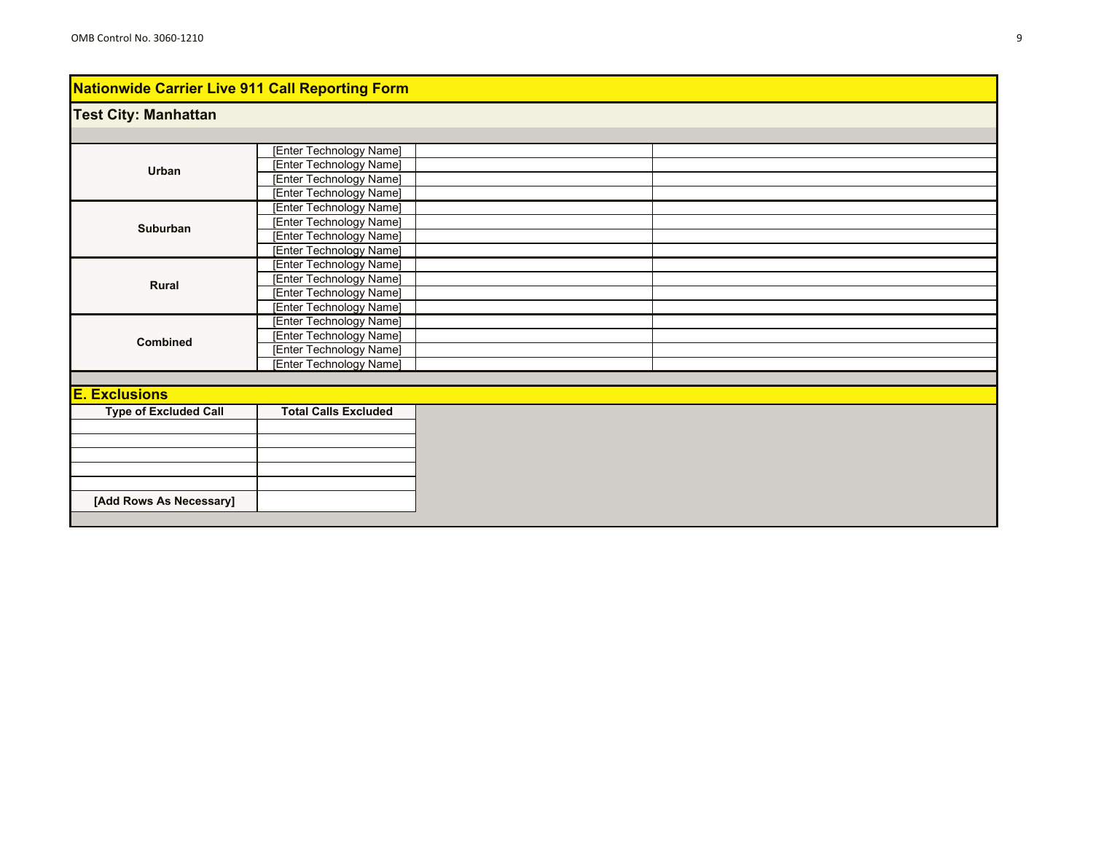### **Test City: Manhattan**

|                              | [Enter Technology Name]     |  |
|------------------------------|-----------------------------|--|
| Urban                        | [Enter Technology Name]     |  |
|                              | [Enter Technology Name]     |  |
|                              | [Enter Technology Name]     |  |
|                              | [Enter Technology Name]     |  |
| Suburban                     | [Enter Technology Name]     |  |
|                              | [Enter Technology Name]     |  |
|                              | [Enter Technology Name]     |  |
|                              | [Enter Technology Name]     |  |
| Rural                        | [Enter Technology Name]     |  |
|                              | [Enter Technology Name]     |  |
|                              | [Enter Technology Name]     |  |
|                              | [Enter Technology Name]     |  |
| <b>Combined</b>              | [Enter Technology Name]     |  |
|                              | [Enter Technology Name]     |  |
|                              | [Enter Technology Name]     |  |
|                              |                             |  |
| <b>E. Exclusions</b>         |                             |  |
| <b>Type of Excluded Call</b> | <b>Total Calls Excluded</b> |  |
|                              |                             |  |
|                              |                             |  |
|                              |                             |  |
|                              |                             |  |
|                              |                             |  |
| [Add Rows As Necessary]      |                             |  |
|                              |                             |  |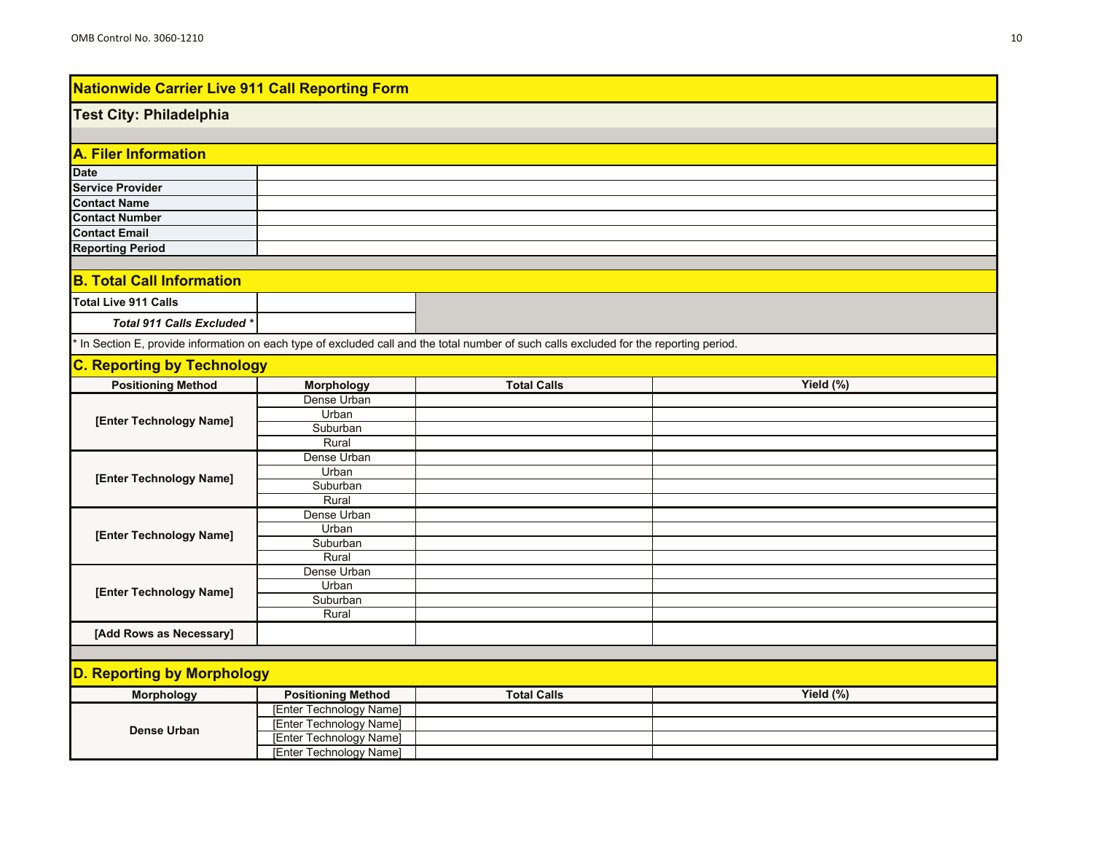### **Test City: Philadelphia**

| A. Filer Information    |  |  |
|-------------------------|--|--|
| <b>Date</b>             |  |  |
| <b>Service Provider</b> |  |  |
| <b>Contact Name</b>     |  |  |
| <b>Contact Number</b>   |  |  |
| <b>Contact Email</b>    |  |  |
| <b>Reporting Period</b> |  |  |

### **B. Total Call Information**

| Total Live 911 Calls       |  |
|----------------------------|--|
| Total 911 Calls Excluded * |  |

\* In Section E, provide information on each type of excluded call and the total number of such calls excluded for the reporting period.

## **C. Reporting by Technology**

| <b>Positioning Method</b> | <b>Morphology</b> | <b>Total Calls</b> | Yield (%) |
|---------------------------|-------------------|--------------------|-----------|
|                           | Dense Urban       |                    |           |
| [Enter Technology Name]   | Urban             |                    |           |
|                           | Suburban          |                    |           |
|                           | Rural             |                    |           |
|                           | Dense Urban       |                    |           |
| [Enter Technology Name]   | Urban             |                    |           |
|                           | Suburban          |                    |           |
|                           | Rural             |                    |           |
|                           | Dense Urban       |                    |           |
| [Enter Technology Name]   | Urban             |                    |           |
|                           | Suburban          |                    |           |
|                           | Rural             |                    |           |
|                           | Dense Urban       |                    |           |
| [Enter Technology Name]   | Urban             |                    |           |
|                           | Suburban          |                    |           |
|                           | Rural             |                    |           |
| [Add Rows as Necessary]   |                   |                    |           |

| <b>Morphology</b> | <b>Positioning Method</b> | <b>Total Calls</b> | Yield $(\%)$ |
|-------------------|---------------------------|--------------------|--------------|
| Dense Urban       | [Enter Technology Name]   |                    |              |
|                   | [Enter Technology Name]   |                    |              |
|                   | [Enter Technology Name]   |                    |              |
|                   | [Enter Technology Name]   |                    |              |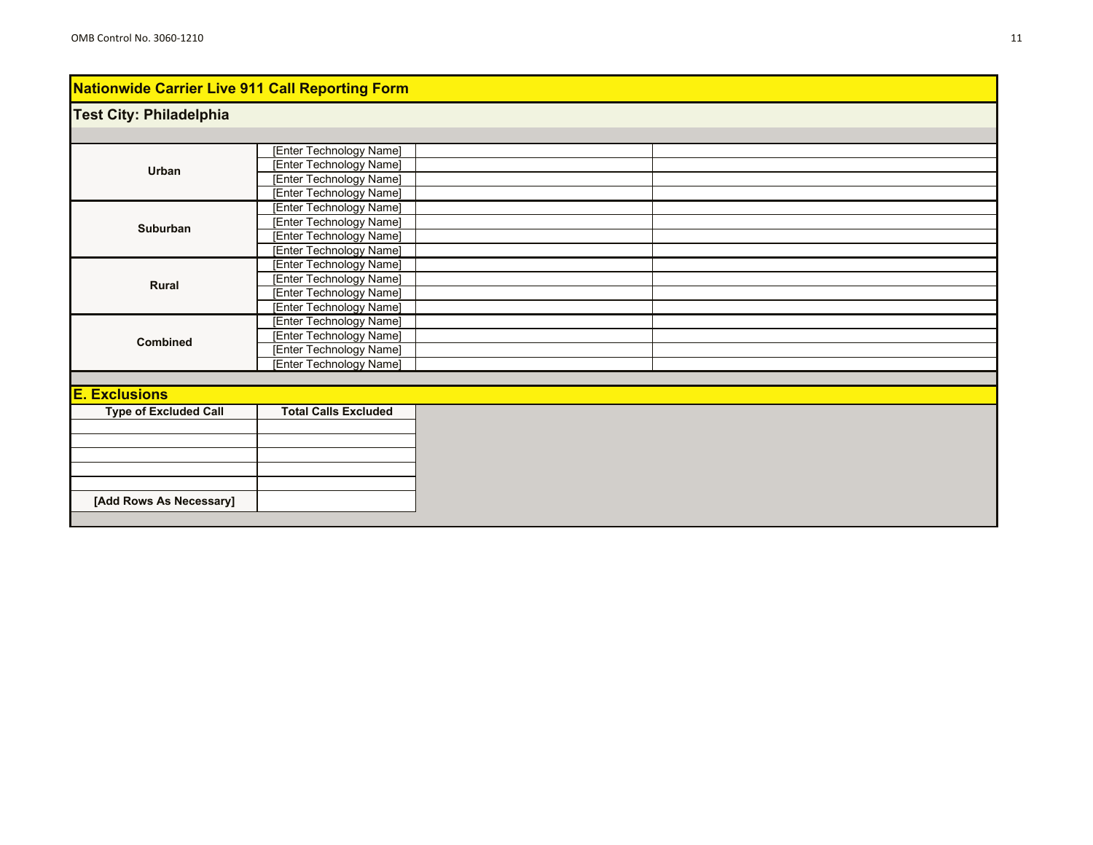### **Test City: Philadelphia**

|                              | [Enter Technology Name]     |  |
|------------------------------|-----------------------------|--|
| Urban                        | [Enter Technology Name]     |  |
|                              | [Enter Technology Name]     |  |
|                              | [Enter Technology Name]     |  |
|                              | [Enter Technology Name]     |  |
| Suburban                     | [Enter Technology Name]     |  |
|                              | [Enter Technology Name]     |  |
|                              | [Enter Technology Name]     |  |
|                              | [Enter Technology Name]     |  |
| Rural                        | [Enter Technology Name]     |  |
|                              | [Enter Technology Name]     |  |
|                              | [Enter Technology Name]     |  |
|                              | [Enter Technology Name]     |  |
| Combined                     | [Enter Technology Name]     |  |
|                              | [Enter Technology Name]     |  |
|                              | [Enter Technology Name]     |  |
|                              |                             |  |
| <b>E. Exclusions</b>         |                             |  |
| <b>Type of Excluded Call</b> | <b>Total Calls Excluded</b> |  |
|                              |                             |  |
|                              |                             |  |
|                              |                             |  |
|                              |                             |  |
|                              |                             |  |
| [Add Rows As Necessary]      |                             |  |
|                              |                             |  |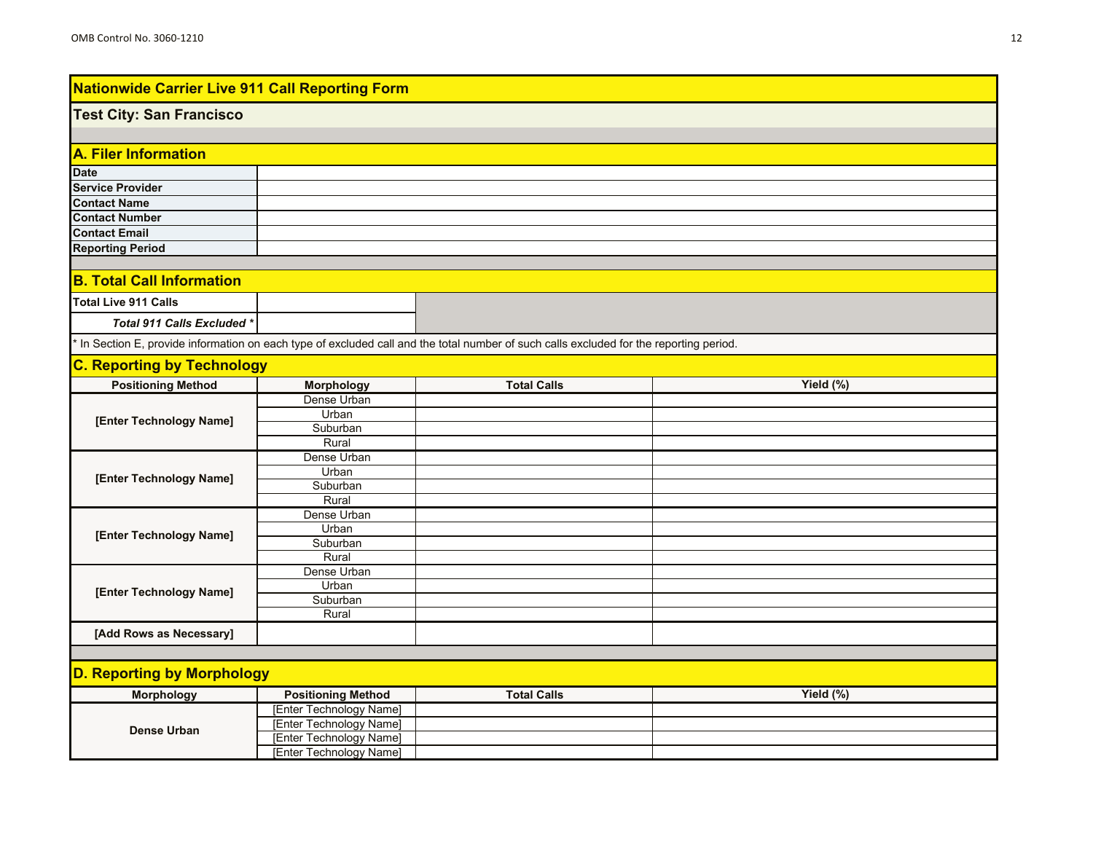#### **Test City: San Francisco**

| A. Filer Information    |  |  |
|-------------------------|--|--|
| <b>Date</b>             |  |  |
| <b>Service Provider</b> |  |  |
| <b>Contact Name</b>     |  |  |
| <b>Contact Number</b>   |  |  |
| <b>Contact Email</b>    |  |  |
| <b>Reporting Period</b> |  |  |

### **B. Total Call Information**

| Total Live 911 Calls       |  |
|----------------------------|--|
| Total 911 Calls Excluded * |  |

\* In Section E, provide information on each type of excluded call and the total number of such calls excluded for the reporting period.

## **C. Reporting by Technology**

| .<br><b>Positioning Method</b> | <b>Morphology</b> | <b>Total Calls</b> | Yield (%) |
|--------------------------------|-------------------|--------------------|-----------|
|                                | Dense Urban       |                    |           |
| [Enter Technology Name]        | Urban             |                    |           |
|                                | Suburban          |                    |           |
|                                | Rural             |                    |           |
|                                | Dense Urban       |                    |           |
| [Enter Technology Name]        | Urban             |                    |           |
|                                | Suburban          |                    |           |
|                                | Rural             |                    |           |
|                                | Dense Urban       |                    |           |
| [Enter Technology Name]        | Urban             |                    |           |
|                                | Suburban          |                    |           |
|                                | Rural             |                    |           |
|                                | Dense Urban       |                    |           |
| [Enter Technology Name]        | Urban             |                    |           |
|                                | Suburban          |                    |           |
|                                | Rural             |                    |           |
| [Add Rows as Necessary]        |                   |                    |           |

| <b>Morphology</b> | <b>Positioning Method</b> | <b>Total Calls</b> | Yield $(\%)$ |
|-------------------|---------------------------|--------------------|--------------|
| Dense Urban       | [Enter Technology Name]   |                    |              |
|                   | [Enter Technology Name]   |                    |              |
|                   | [Enter Technology Name]   |                    |              |
|                   | [Enter Technology Name]   |                    |              |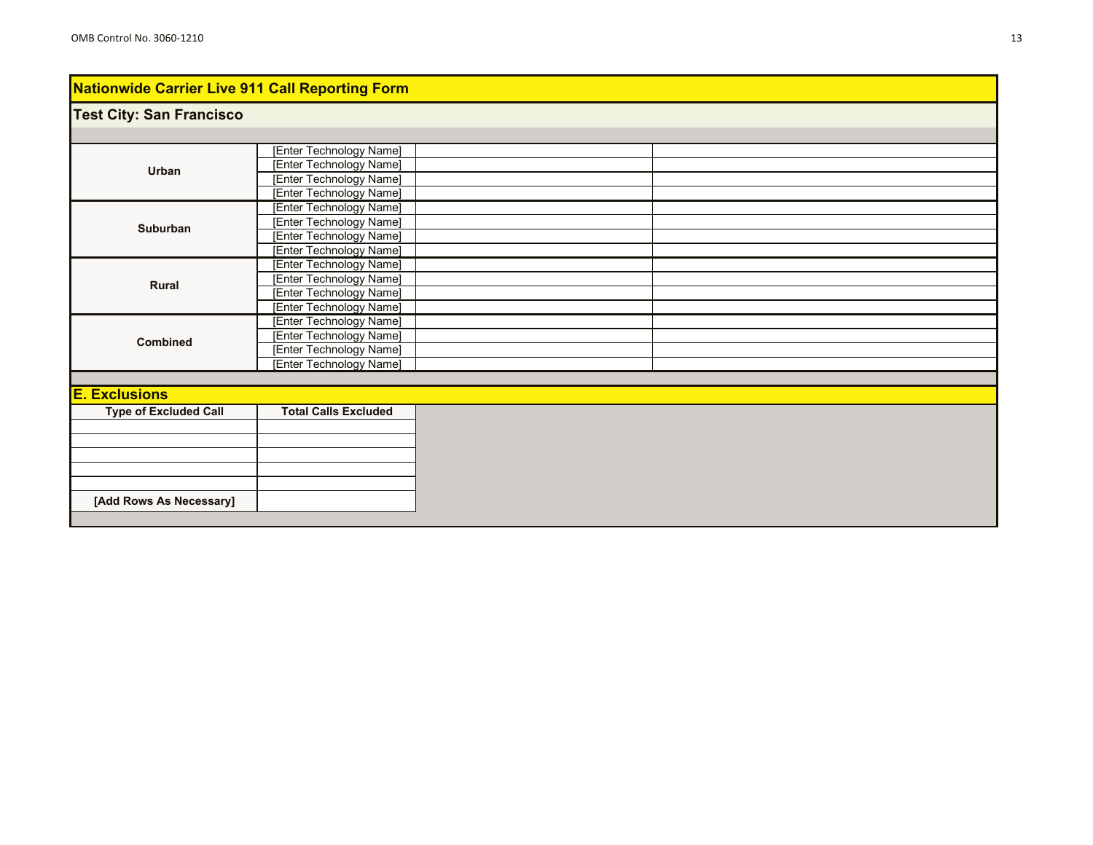### **Test City: San Francisco**

| Urban                        | [Enter Technology Name]     |  |
|------------------------------|-----------------------------|--|
|                              | [Enter Technology Name]     |  |
|                              | [Enter Technology Name]     |  |
|                              | [Enter Technology Name]     |  |
|                              | [Enter Technology Name]     |  |
| Suburban                     | [Enter Technology Name]     |  |
|                              | [Enter Technology Name]     |  |
|                              | [Enter Technology Name]     |  |
|                              | [Enter Technology Name]     |  |
| Rural                        | [Enter Technology Name]     |  |
|                              | [Enter Technology Name]     |  |
|                              | [Enter Technology Name]     |  |
|                              | [Enter Technology Name]     |  |
| <b>Combined</b>              | [Enter Technology Name]     |  |
|                              | [Enter Technology Name]     |  |
|                              | [Enter Technology Name]     |  |
|                              |                             |  |
| <b>E. Exclusions</b>         |                             |  |
| <b>Type of Excluded Call</b> | <b>Total Calls Excluded</b> |  |
|                              |                             |  |
|                              |                             |  |
|                              |                             |  |
|                              |                             |  |
|                              |                             |  |
| [Add Rows As Necessary]      |                             |  |
|                              |                             |  |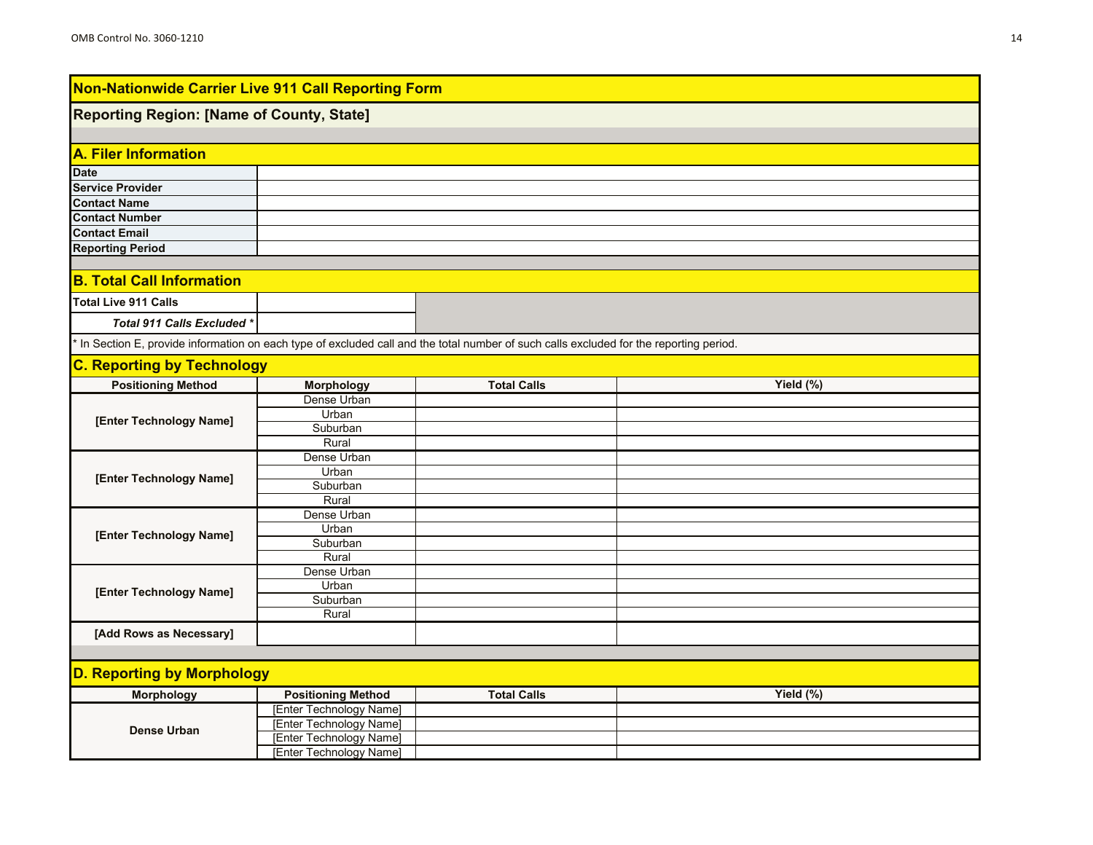### **Reporting Region: [Name of County, State]**

| A. Filer Information    |  |
|-------------------------|--|
| <b>Date</b>             |  |
| <b>Service Provider</b> |  |
| <b>Contact Name</b>     |  |
| <b>Contact Number</b>   |  |
| <b>Contact Email</b>    |  |
| <b>Reporting Period</b> |  |

### **B. Total Call Information**

| <b>Total Live 911 Calls</b> |  |
|-----------------------------|--|
| Total 911 Calls Excluded *  |  |

\* In Section E, provide information on each type of excluded call and the total number of such calls excluded for the reporting period.

## **C. Reporting by Technology**

| <b>Positioning Method</b> | $\sim$<br><b>Morphology</b> | <b>Total Calls</b> | Yield (%) |
|---------------------------|-----------------------------|--------------------|-----------|
|                           | Dense Urban                 |                    |           |
|                           | Urban                       |                    |           |
| [Enter Technology Name]   | Suburban                    |                    |           |
|                           | Rural                       |                    |           |
|                           | Dense Urban                 |                    |           |
| [Enter Technology Name]   | Urban                       |                    |           |
|                           | Suburban                    |                    |           |
|                           | Rural                       |                    |           |
|                           | Dense Urban                 |                    |           |
| [Enter Technology Name]   | Urban                       |                    |           |
|                           | Suburban                    |                    |           |
|                           | Rural                       |                    |           |
|                           | Dense Urban                 |                    |           |
| [Enter Technology Name]   | Urban                       |                    |           |
|                           | Suburban                    |                    |           |
|                           | Rural                       |                    |           |
| [Add Rows as Necessary]   |                             |                    |           |

| Morphology  | <b>Positioning Method</b>         | <b>Total Calls</b> | Yield $(\%)$ |
|-------------|-----------------------------------|--------------------|--------------|
| Dense Urban | Technology Name]<br><b>IEnter</b> |                    |              |
|             | [Enter Technology Name]           |                    |              |
|             | [Enter Technology Name]           |                    |              |
|             | [Enter Technology Name]           |                    |              |